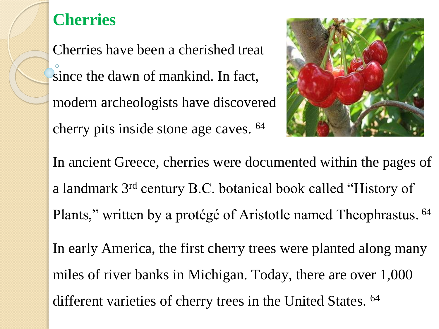## **Cherries**

Cherries have been a cherished treat since the dawn of mankind. In fact, modern archeologists have discovered cherry pits inside stone age caves. <sup>64</sup>



In ancient Greece, cherries were documented within the pages of a landmark 3rd century B.C. botanical book called "History of Plants," written by a protégé of Aristotle named Theophrastus. <sup>64</sup>

In early America, the first cherry trees were planted along many miles of river banks in Michigan. Today, there are over 1,000 different varieties of cherry trees in the United States. <sup>64</sup>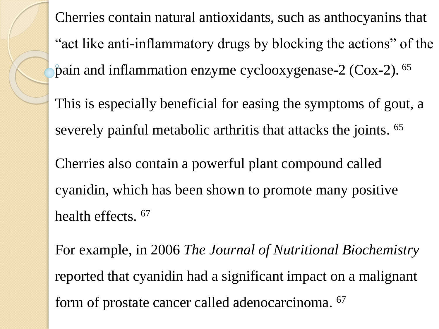Cherries contain natural antioxidants, such as anthocyanins that "act like anti-inflammatory drugs by blocking the actions" of the pain and inflammation enzyme cyclooxygenase-2 ( $\cos$ -2). <sup>65</sup> This is especially beneficial for easing the symptoms of gout, a severely painful metabolic arthritis that attacks the joints. <sup>65</sup> Cherries also contain a powerful plant compound called cyanidin, which has been shown to promote many positive health effects. <sup>67</sup> For example, in 2006 *The Journal of Nutritional Biochemistry* reported that cyanidin had a significant impact on a malignant

form of prostate cancer called adenocarcinoma. 67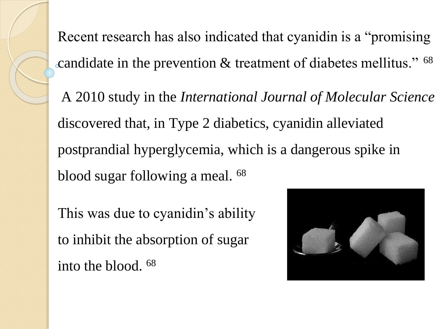Recent research has also indicated that cyanidin is a "promising candidate in the prevention  $&$  treatment of diabetes mellitus."  $^{68}$ 

A 2010 study in the *International Journal of Molecular Science* discovered that, in Type 2 diabetics, cyanidin alleviated postprandial hyperglycemia, which is a dangerous spike in blood sugar following a meal. <sup>68</sup>

This was due to cyanidin's ability to inhibit the absorption of sugar into the blood. 68